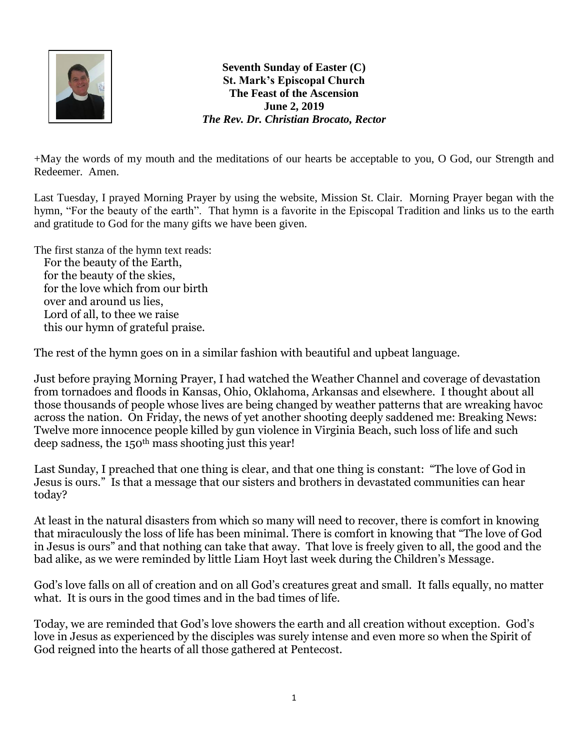

**Seventh Sunday of Easter (C) St. Mark's Episcopal Church The Feast of the Ascension June 2, 2019** *The Rev. Dr. Christian Brocato, Rector*

+May the words of my mouth and the meditations of our hearts be acceptable to you, O God, our Strength and Redeemer. Amen.

Last Tuesday, I prayed Morning Prayer by using the website, Mission St. Clair. Morning Prayer began with the hymn, "For the beauty of the earth". That hymn is a favorite in the Episcopal Tradition and links us to the earth and gratitude to God for the many gifts we have been given.

The first stanza of the hymn text reads: For the beauty of the Earth, for the beauty of the skies, for the love which from our birth over and around us lies, Lord of all, to thee we raise this our hymn of grateful praise.

The rest of the hymn goes on in a similar fashion with beautiful and upbeat language.

Just before praying Morning Prayer, I had watched the Weather Channel and coverage of devastation from tornadoes and floods in Kansas, Ohio, Oklahoma, Arkansas and elsewhere. I thought about all those thousands of people whose lives are being changed by weather patterns that are wreaking havoc across the nation. On Friday, the news of yet another shooting deeply saddened me: Breaking News: Twelve more innocence people killed by gun violence in Virginia Beach, such loss of life and such deep sadness, the 150th mass shooting just this year!

Last Sunday, I preached that one thing is clear, and that one thing is constant: "The love of God in Jesus is ours." Is that a message that our sisters and brothers in devastated communities can hear today?

At least in the natural disasters from which so many will need to recover, there is comfort in knowing that miraculously the loss of life has been minimal. There is comfort in knowing that "The love of God in Jesus is ours" and that nothing can take that away. That love is freely given to all, the good and the bad alike, as we were reminded by little Liam Hoyt last week during the Children's Message.

God's love falls on all of creation and on all God's creatures great and small. It falls equally, no matter what. It is ours in the good times and in the bad times of life.

Today, we are reminded that God's love showers the earth and all creation without exception. God's love in Jesus as experienced by the disciples was surely intense and even more so when the Spirit of God reigned into the hearts of all those gathered at Pentecost.